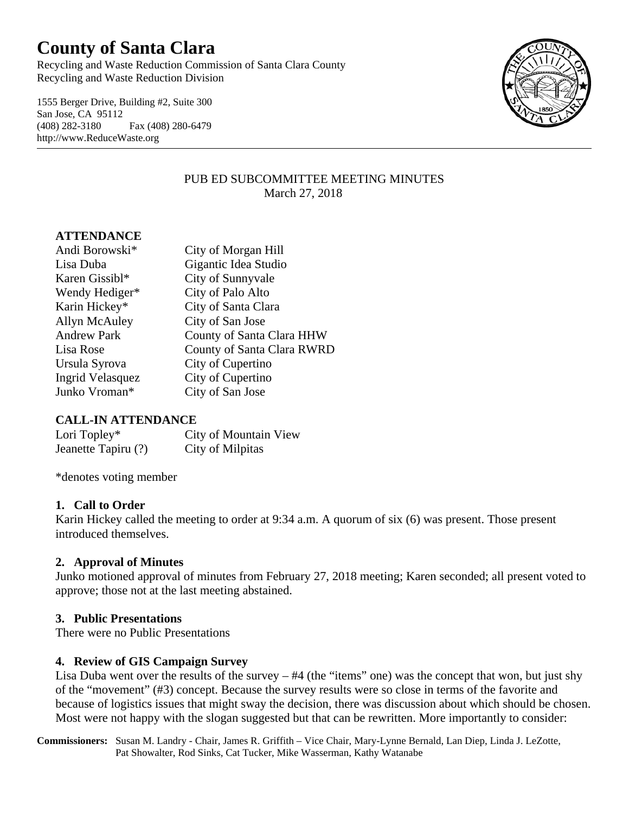# **County of Santa Clara**

Recycling and Waste Reduction Commission of Santa Clara County Recycling and Waste Reduction Division

1555 Berger Drive, Building #2, Suite 300 San Jose, CA 95112 (408) 282-3180 Fax (408) 280-6479 http://www.ReduceWaste.org



#### PUB ED SUBCOMMITTEE MEETING MINUTES March 27, 2018

# **ATTENDANCE**

| Andi Borowski*          | City of Morgan Hill        |
|-------------------------|----------------------------|
| Lisa Duba               | Gigantic Idea Studio       |
| Karen Gissibl*          | City of Sunnyvale          |
| Wendy Hediger*          | City of Palo Alto          |
| Karin Hickey*           | City of Santa Clara        |
| Allyn McAuley           | City of San Jose           |
| <b>Andrew Park</b>      | County of Santa Clara HHW  |
| Lisa Rose               | County of Santa Clara RWRD |
| Ursula Syrova           | City of Cupertino          |
| <b>Ingrid Velasquez</b> | City of Cupertino          |
| Junko Vroman*           | City of San Jose           |

## **CALL-IN ATTENDANCE**

| Lori Topley*        | City of Mountain View |
|---------------------|-----------------------|
| Jeanette Tapiru (?) | City of Milpitas      |

\*denotes voting member

#### **1. Call to Order**

Karin Hickey called the meeting to order at 9:34 a.m. A quorum of six (6) was present. Those present introduced themselves.

## **2. Approval of Minutes**

Junko motioned approval of minutes from February 27, 2018 meeting; Karen seconded; all present voted to approve; those not at the last meeting abstained.

## **3. Public Presentations**

There were no Public Presentations

## **4. Review of GIS Campaign Survey**

Lisa Duba went over the results of the survey – #4 (the "items" one) was the concept that won, but just shy of the "movement" (#3) concept. Because the survey results were so close in terms of the favorite and because of logistics issues that might sway the decision, there was discussion about which should be chosen. Most were not happy with the slogan suggested but that can be rewritten. More importantly to consider:

**Commissioners:** Susan M. Landry - Chair, James R. Griffith – Vice Chair, Mary-Lynne Bernald, Lan Diep, Linda J. LeZotte, Pat Showalter, Rod Sinks, Cat Tucker, Mike Wasserman, Kathy Watanabe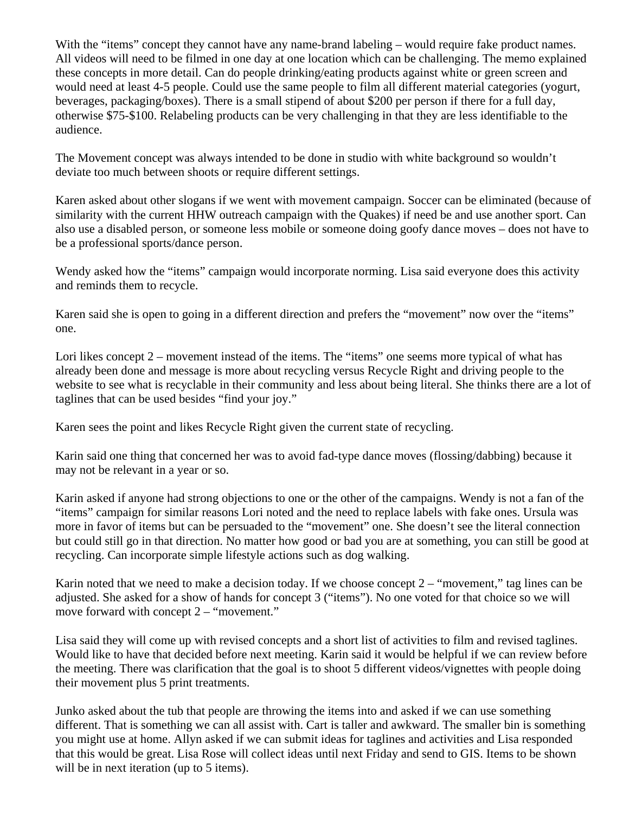With the "items" concept they cannot have any name-brand labeling – would require fake product names. All videos will need to be filmed in one day at one location which can be challenging. The memo explained these concepts in more detail. Can do people drinking/eating products against white or green screen and would need at least 4-5 people. Could use the same people to film all different material categories (yogurt, beverages, packaging/boxes). There is a small stipend of about \$200 per person if there for a full day, otherwise \$75-\$100. Relabeling products can be very challenging in that they are less identifiable to the audience.

The Movement concept was always intended to be done in studio with white background so wouldn't deviate too much between shoots or require different settings.

Karen asked about other slogans if we went with movement campaign. Soccer can be eliminated (because of similarity with the current HHW outreach campaign with the Quakes) if need be and use another sport. Can also use a disabled person, or someone less mobile or someone doing goofy dance moves – does not have to be a professional sports/dance person.

Wendy asked how the "items" campaign would incorporate norming. Lisa said everyone does this activity and reminds them to recycle.

Karen said she is open to going in a different direction and prefers the "movement" now over the "items" one.

Lori likes concept 2 – movement instead of the items. The "items" one seems more typical of what has already been done and message is more about recycling versus Recycle Right and driving people to the website to see what is recyclable in their community and less about being literal. She thinks there are a lot of taglines that can be used besides "find your joy."

Karen sees the point and likes Recycle Right given the current state of recycling.

Karin said one thing that concerned her was to avoid fad-type dance moves (flossing/dabbing) because it may not be relevant in a year or so.

Karin asked if anyone had strong objections to one or the other of the campaigns. Wendy is not a fan of the "items" campaign for similar reasons Lori noted and the need to replace labels with fake ones. Ursula was more in favor of items but can be persuaded to the "movement" one. She doesn't see the literal connection but could still go in that direction. No matter how good or bad you are at something, you can still be good at recycling. Can incorporate simple lifestyle actions such as dog walking.

Karin noted that we need to make a decision today. If we choose concept  $2 -$  "movement," tag lines can be adjusted. She asked for a show of hands for concept 3 ("items"). No one voted for that choice so we will move forward with concept 2 – "movement."

Lisa said they will come up with revised concepts and a short list of activities to film and revised taglines. Would like to have that decided before next meeting. Karin said it would be helpful if we can review before the meeting. There was clarification that the goal is to shoot 5 different videos/vignettes with people doing their movement plus 5 print treatments.

Junko asked about the tub that people are throwing the items into and asked if we can use something different. That is something we can all assist with. Cart is taller and awkward. The smaller bin is something you might use at home. Allyn asked if we can submit ideas for taglines and activities and Lisa responded that this would be great. Lisa Rose will collect ideas until next Friday and send to GIS. Items to be shown will be in next iteration (up to 5 items).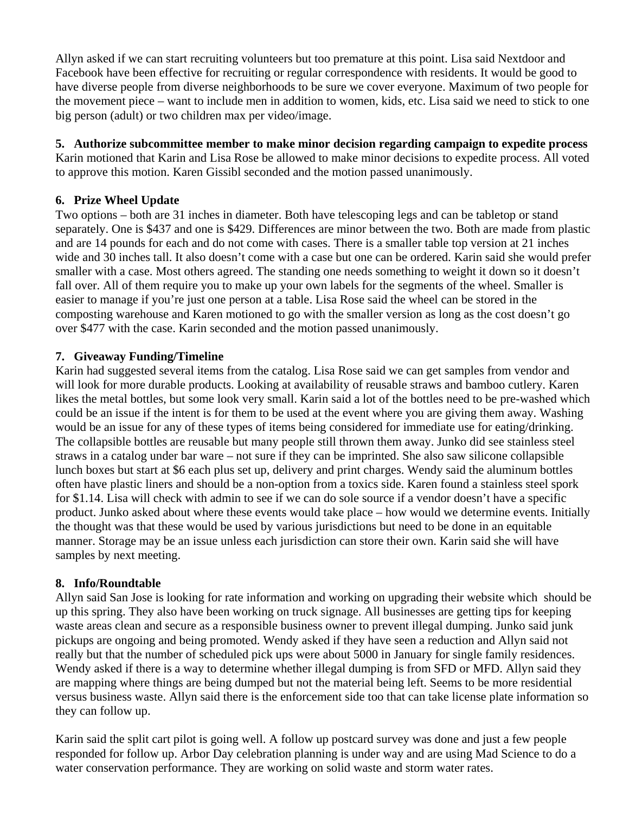Allyn asked if we can start recruiting volunteers but too premature at this point. Lisa said Nextdoor and Facebook have been effective for recruiting or regular correspondence with residents. It would be good to have diverse people from diverse neighborhoods to be sure we cover everyone. Maximum of two people for the movement piece – want to include men in addition to women, kids, etc. Lisa said we need to stick to one big person (adult) or two children max per video/image.

**5. Authorize subcommittee member to make minor decision regarding campaign to expedite process** Karin motioned that Karin and Lisa Rose be allowed to make minor decisions to expedite process. All voted to approve this motion. Karen Gissibl seconded and the motion passed unanimously.

## **6. Prize Wheel Update**

Two options – both are 31 inches in diameter. Both have telescoping legs and can be tabletop or stand separately. One is \$437 and one is \$429. Differences are minor between the two. Both are made from plastic and are 14 pounds for each and do not come with cases. There is a smaller table top version at 21 inches wide and 30 inches tall. It also doesn't come with a case but one can be ordered. Karin said she would prefer smaller with a case. Most others agreed. The standing one needs something to weight it down so it doesn't fall over. All of them require you to make up your own labels for the segments of the wheel. Smaller is easier to manage if you're just one person at a table. Lisa Rose said the wheel can be stored in the composting warehouse and Karen motioned to go with the smaller version as long as the cost doesn't go over \$477 with the case. Karin seconded and the motion passed unanimously.

# **7. Giveaway Funding/Timeline**

Karin had suggested several items from the catalog. Lisa Rose said we can get samples from vendor and will look for more durable products. Looking at availability of reusable straws and bamboo cutlery. Karen likes the metal bottles, but some look very small. Karin said a lot of the bottles need to be pre-washed which could be an issue if the intent is for them to be used at the event where you are giving them away. Washing would be an issue for any of these types of items being considered for immediate use for eating/drinking. The collapsible bottles are reusable but many people still thrown them away. Junko did see stainless steel straws in a catalog under bar ware – not sure if they can be imprinted. She also saw silicone collapsible lunch boxes but start at \$6 each plus set up, delivery and print charges. Wendy said the aluminum bottles often have plastic liners and should be a non-option from a toxics side. Karen found a stainless steel spork for \$1.14. Lisa will check with admin to see if we can do sole source if a vendor doesn't have a specific product. Junko asked about where these events would take place – how would we determine events. Initially the thought was that these would be used by various jurisdictions but need to be done in an equitable manner. Storage may be an issue unless each jurisdiction can store their own. Karin said she will have samples by next meeting.

## **8. Info/Roundtable**

Allyn said San Jose is looking for rate information and working on upgrading their website which should be up this spring. They also have been working on truck signage. All businesses are getting tips for keeping waste areas clean and secure as a responsible business owner to prevent illegal dumping. Junko said junk pickups are ongoing and being promoted. Wendy asked if they have seen a reduction and Allyn said not really but that the number of scheduled pick ups were about 5000 in January for single family residences. Wendy asked if there is a way to determine whether illegal dumping is from SFD or MFD. Allyn said they are mapping where things are being dumped but not the material being left. Seems to be more residential versus business waste. Allyn said there is the enforcement side too that can take license plate information so they can follow up.

Karin said the split cart pilot is going well. A follow up postcard survey was done and just a few people responded for follow up. Arbor Day celebration planning is under way and are using Mad Science to do a water conservation performance. They are working on solid waste and storm water rates.